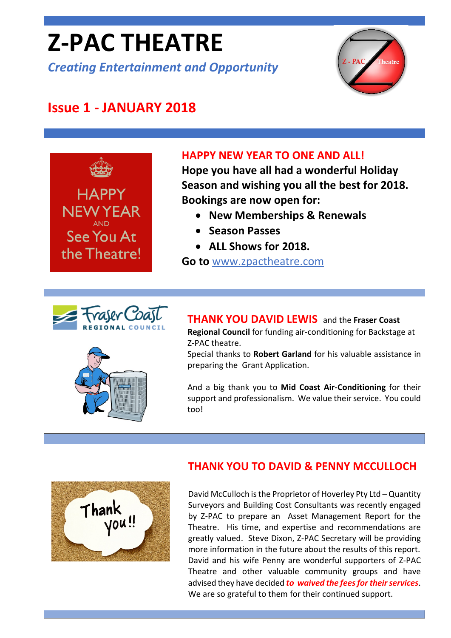# **Z-PAC THEATRE**

*Creating Entertainment and Opportunity*



# **Issue 1 - JANUARY 2018**



#### **HAPPY NEW YEAR TO ONE AND ALL!**

**Hope you have all had a wonderful Holiday Season and wishing you all the best for 2018. Bookings are now open for:**

- **New Memberships & Renewals**
- **Season Passes**
- **ALL Shows for 2018.**

**Go to** [www.zpactheatre.com](http://www.zpactheatre.com/)



#### **THANK YOU DAVID LEWIS** and the **Fraser Coast**

**Regional Council** for funding air-conditioning for Backstage at Z-PAC theatre.

Special thanks to **Robert Garland** for his valuable assistance in preparing the Grant Application.

And a big thank you to **Mid Coast Air-Conditioning** for their support and professionalism. We value their service. You could too!



#### **THANK YOU TO DAVID & PENNY MCCULLOCH**

David McCulloch is the Proprietor of Hoverley Pty Ltd – Quantity Surveyors and Building Cost Consultants was recently engaged by Z-PAC to prepare an Asset Management Report for the Theatre. His time, and expertise and recommendations are greatly valued. Steve Dixon, Z-PAC Secretary will be providing more information in the future about the results of this report. David and his wife Penny are wonderful supporters of Z-PAC Theatre and other valuable community groups and have advised they have decided *to waived the fees for their services*. We are so grateful to them for their continued support.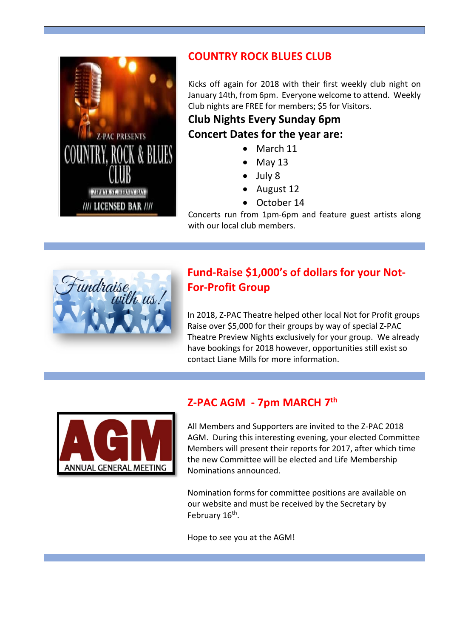

### **COUNTRY ROCK BLUES CLUB**

Kicks off again for 2018 with their first weekly club night on January 14th, from 6pm. Everyone welcome to attend. Weekly Club nights are FREE for members; \$5 for Visitors.

## **Club Nights Every Sunday 6pm Concert Dates for the year are:**

- March 11
- May 13
- July 8
- August 12
- October 14

Concerts run from 1pm-6pm and feature guest artists along with our local club members.



## **Fund-Raise \$1,000's of dollars for your Not-For-Profit Group**

In 2018, Z-PAC Theatre helped other local Not for Profit groups Raise over \$5,000 for their groups by way of special Z-PAC Theatre Preview Nights exclusively for your group. We already have bookings for 2018 however, opportunities still exist so contact Liane Mills for more information.



# **Z-PAC AGM - 7pm MARCH 7th**

All Members and Supporters are invited to the Z-PAC 2018 AGM. During this interesting evening, your elected Committee Members will present their reports for 2017, after which time the new Committee will be elected and Life Membership Nominations announced.

Nomination forms for committee positions are available on our website and must be received by the Secretary by February 16<sup>th</sup>.

Hope to see you at the AGM!